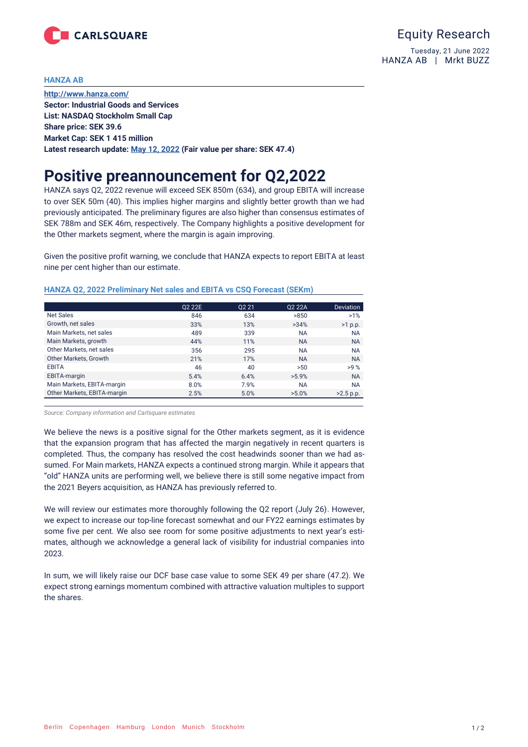

## **HANZA AB**

**<http://www.hanza.com/> Sector: Industrial Goods and Services List: NASDAQ Stockholm Small Cap Share price: SEK 39.6 Market Cap: SEK 1 415 million Latest research update: May [12, 2022](https://www.carlsquare.com/sv/research-update-hanzaq1-2022-strong-growth-in-extraordinary-times/) (Fair value per share: SEK 47.4)**

## **Positive preannouncement for Q2,2022**

HANZA says Q2, 2022 revenue will exceed SEK 850m (634), and group EBITA will increase to over SEK 50m (40). This implies higher margins and slightly better growth than we had previously anticipated. The preliminary figures are also higher than consensus estimates of SEK 788m and SEK 46m, respectively. The Company highlights a positive development for the Other markets segment, where the margin is again improving.

Given the positive profit warning, we conclude that HANZA expects to report EBITA at least nine per cent higher than our estimate.

|                             | 02 22E | 02 21 | Q2 22A    | <b>Deviation</b> |
|-----------------------------|--------|-------|-----------|------------------|
| <b>Net Sales</b>            | 846    | 634   | >850      | $>1\%$           |
| Growth, net sales           | 33%    | 13%   | >34%      | $>1$ p.p.        |
| Main Markets, net sales     | 489    | 339   | <b>NA</b> | <b>NA</b>        |
| Main Markets, growth        | 44%    | 11%   | <b>NA</b> | <b>NA</b>        |
| Other Markets, net sales    | 356    | 295   | <b>NA</b> | <b>NA</b>        |
| Other Markets, Growth       | 21%    | 17%   | <b>NA</b> | <b>NA</b>        |
| <b>EBITA</b>                | 46     | 40    | >50       | >9%              |
| <b>EBITA-margin</b>         | 5.4%   | 6.4%  | $>5.9\%$  | <b>NA</b>        |
| Main Markets, EBITA-margin  | 8.0%   | 7.9%  | <b>NA</b> | <b>NA</b>        |
| Other Markets, EBITA-margin | 2.5%   | 5.0%  | $>5.0\%$  | $>2.5$ p.p.      |

## **HANZA Q2, 2022 Preliminary Net sales and EBITA vs CSQ Forecast (SEKm)**

*Source: Company information and Carlsquare estimates*

We believe the news is a positive signal for the Other markets segment, as it is evidence that the expansion program that has affected the margin negatively in recent quarters is completed. Thus, the company has resolved the cost headwinds sooner than we had assumed. For Main markets, HANZA expects a continued strong margin. While it appears that "old" HANZA units are performing well, we believe there is still some negative impact from the 2021 Beyers acquisition, as HANZA has previously referred to.

We will review our estimates more thoroughly following the Q2 report (July 26). However, we expect to increase our top-line forecast somewhat and our FY22 earnings estimates by some five per cent. We also see room for some positive adjustments to next year's estimates, although we acknowledge a general lack of visibility for industrial companies into 2023.

In sum, we will likely raise our DCF base case value to some SEK 49 per share (47.2). We expect strong earnings momentum combined with attractive valuation multiples to support the shares.